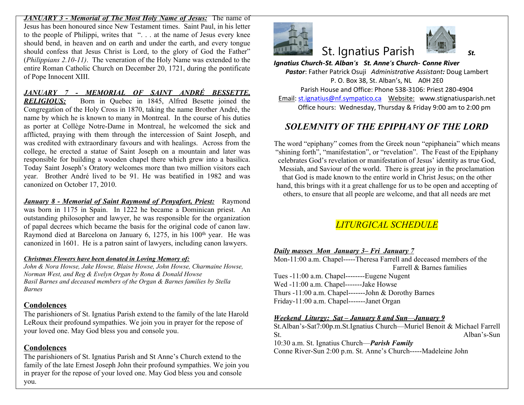*JANUARY 3 - Memorial of The Most Holy Name of Jesus:* The name of Jesus has been honoured since New Testament times. Saint Paul, in his letter to the people of Philippi, writes that ". . . at the name of Jesus every knee should bend, in heaven and on earth and under the earth, and every tongue should confess that Jesus Christ is Lord, to the glory of God the Father" (*Philippians 2.10-11)*. The veneration of the Holy Name was extended to the entire Roman Catholic Church on December 20, 1721, during the pontificate of Pope Innocent XIII.

*JANUARY 7 - MEMORIAL OF SAINT ANDRÉ BESSETTE, RELIGIOUS:* Born in Quebec in 1845, Alfred Besette joined the Congregation of the Holy Cross in 1870, taking the name Brother André, the name by which he is known to many in Montreal. In the course of his duties as porter at Collège Notre-Dame in Montreal, he welcomed the sick and afflicted, praying with them through the intercession of Saint Joseph, and was credited with extraordinary favours and with healings. Across from the college, he erected a statue of Saint Joseph on a mountain and later was responsible for building a wooden chapel there which grew into a basilica. Today Saint Joseph's Oratory welcomes more than two million visitors each year. Brother André lived to be 91. He was beatified in 1982 and was canonized on October 17, 2010.

*January 8 - Memorial of Saint Raymond of Penyafort, Priest:* Raymond was born in 1175 in Spain. In 1222 he became a Dominican priest. An outstanding philosopher and lawyer, he was responsible for the organization of papal decrees which became the basis for the original code of canon law. Raymond died at Barcelona on January 6, 1275, in his 100<sup>th</sup> year. He was canonized in 1601. He is a patron saint of lawyers, including canon lawyers.

#### *Christmas Flowers have been donated in Loving Memory of:*

*John & Nora Howse, Jake Howse, Blaise Howse, John Howse, Charmaine Howse, Norman West, and Reg & Evelyn Organ by Rona & Donald Howse Basil Barnes and deceased members of the Organ & Barnes families by Stella Barnes*

### **Condolences**

The parishioners of St. Ignatius Parish extend to the family of the late Harold LeRoux their profound sympathies. We join you in prayer for the repose of your loved one. May God bless you and console you.

### **Condolences**

The parishioners of St. Ignatius Parish and St Anne's Church extend to the family of the late Ernest Joseph John their profound sympathies. We join you in prayer for the repose of your loved one. May God bless you and console you.



# **St. Ignatius Paris**

*Ignatius Church-St. Alban's St. Anne's Ch Pastor*: Father Patrick Osuji Administrat P. O. Box 38, St. Alban's, Parish House and Office: Phone 538 Email: st.ignatius@nf.sympatico.ca Webs Office hours: Wednesday, Thursday

# **SOLEMNITY OF THE EPIPH**

The word "epiphany" comes from the Greek "shining forth", "manifestation", or "revelation" celebrates God's revelation or manifestation Messiah, and Saviour of the world. There is that God is made known to the entire world hand, this brings with it a great challenge for others, to ensure that all people are welcom

# $LITURGICAL \;SCI$

### *Daily masses Mon January 3– Fri January 7*

Mon-11:00 a.m. Chapel-----Theresa Farrell a Farr Tues -11:00 a.m. Chapel--------Eugene Nuge Wed -11:00 a.m. Chapel-------Jake Howse Thurs  $-11:00$  a.m. Chapel-------John & Dorot Friday-11:00 a.m. Chapel-------Janet Organ

#### *Weekend Liturgy: Sat – January 8 and Sun—January 9*

St.Alban's-Sat7:00p.m.St.Ignatius Church-St.  $\mathbf{S}$ 

10:30 a.m. St. Ignatius Church—*Parish Family* Conne River-Sun 2:00 p.m. St. Anne's Church-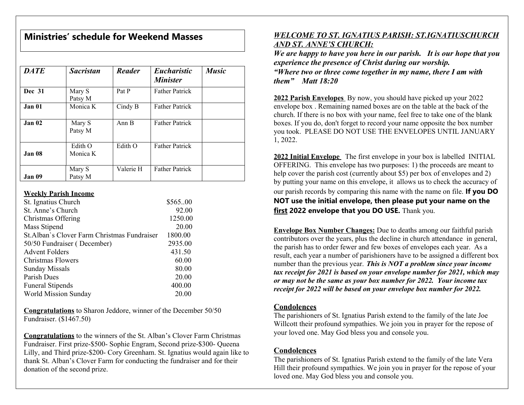# **Ministries' schedule for Weekend Masses**

| <b>DATE</b>   | <b>Sacristan</b>    | <b>Reader</b> | <b>Eucharistic</b><br><b>Minister</b> | <b>Music</b> |
|---------------|---------------------|---------------|---------------------------------------|--------------|
| <b>Dec</b> 31 | Mary S<br>Patsy M   | Pat P         | <b>Father Patrick</b>                 |              |
| Jan 01        | Monica K            | Cindy B       | <b>Father Patrick</b>                 |              |
| Jan 02        | Mary S<br>Patsy M   | Ann B         | <b>Father Patrick</b>                 |              |
| Jan 08        | Edith O<br>Monica K | Edith O       | <b>Father Patrick</b>                 |              |
| Jan 09        | Mary S<br>Patsy M   | Valerie H     | <b>Father Patrick</b>                 |              |

#### **Weekly Parish Income**

| St. Ignatius Church                          | \$56500 |
|----------------------------------------------|---------|
| St. Anne's Church                            | 92.00   |
| Christmas Offering                           | 1250.00 |
| Mass Stipend                                 | 20.00   |
| St. Alban's Clover Farm Christmas Fundraiser | 1800.00 |
| 50/50 Fundraiser (December)                  | 2935.00 |
| <b>Advent Folders</b>                        | 431.50  |
| Christmas Flowers                            | 60.00   |
| <b>Sunday Missals</b>                        | 80.00   |
| Parish Dues                                  | 20.00   |
| <b>Funeral Stipends</b>                      | 400.00  |
| World Mission Sunday                         | 20.00   |

**Congratulations** to Sharon Jeddore, winner of the December 50/50 Fundraiser. (\$1467.50)

**Congratulations** to the winners of the St. Alban's Clover Farm Christmas Fundraiser. First prize-\$500- Sophie Engram, Second prize-\$300- Queena Lilly, and Third prize-\$200- Cory Greenham. St. Ignatius would again like to thank St. Alban's Clover Farm for conducting the fundraiser and for their donation of the second prize.

# *WELCOME TO ST. IGNATIUS PARISH: ST.IGNATIUSCHURCH AND ST. ANNE'S CHURCH:*

*We are happy to have you here in our parish. It is our hope that you experience the presence of Christ during our worship. "Where two or three come together in my name, there I am with them" Matt 18:20*

**2022 Parish Envelopes** By now, you should have picked up your 2022 envelope box . Remaining named boxes are on the table at the back of the church. If there is no box with your name, feel free to take one of the blank boxes. If you do, don't forget to record your name opposite the box number you took. PLEASE DO NOT USE THE ENVELOPES UNTIL JANUARY 1, 2022.

**2022 Initial Envelope** The first envelope in your box is labelled INITIAL OFFERING. This envelope has two purposes: 1) the proceeds are meant to help cover the parish cost (currently about \$5) per box of envelopes and 2) by putting your name on this envelope, it allows us to check the accuracy of our parish records by comparing this name with the name on file. **If you DO NOT use the initial envelope, then please put your name on the first 2022 envelope that you DO USE.** Thank you.

**Envelope Box Number Changes:** Due to deaths among our faithful parish contributors over the years, plus the decline in church attendance in general, the parish has to order fewer and few boxes of envelopes each year. As a result, each year a number of parishioners have to be assigned a different box number than the previous year. *This is NOT a problem since your income tax receipt for 2021 is based on your envelope number for 2021, which may or may not be the same as your box number for 2022. Your income tax receipt for 2022 will be based on your envelope box number for 2022.*

## **Condolences**

The parishioners of St. Ignatius Parish extend to the family of the late Joe Willcott their profound sympathies. We join you in prayer for the repose of your loved one. May God bless you and console you.

## **Condolences**

The parishioners of St. Ignatius Parish extend to the family of the late Vera Hill their profound sympathies. We join you in prayer for the repose of your loved one. May God bless you and console you.